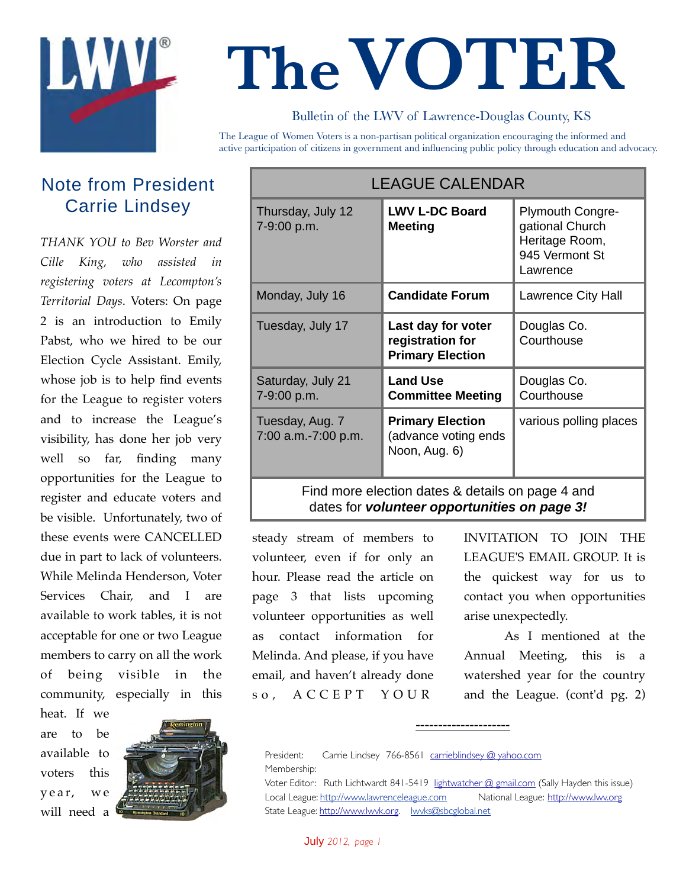

# **TheVOTER**

# Bulletin of the LWV of Lawrence-Douglas County, KS

The League of Women Voters is a non-partisan political organization encouraging the informed and active participation of citizens in government and influencing public policy through education and advocacy.

# Note from President Carrie Lindsey

*THANK YOU to Bev Worster and Cille King, who assisted in registering voters at Lecompton's Territorial Days*. Voters: On page 2 is an introduction to Emily Pabst, who we hired to be our Election Cycle Assistant. Emily, whose job is to help find events for the League to register voters and to increase the League's visibility, has done her job very well so far, finding many opportunities for the League to register and educate voters and be visible. Unfortunately, two of these events were CANCELLED due in part to lack of volunteers. While Melinda Henderson, Voter Services Chair, and I are available to work tables, it is not acceptable for one or two League members to carry on all the work of being visible in the community, especially in this

heat. If we are to be available to voters this y e a r, w e will need a



| <b>LEAGUE CALENDAR</b>                 |                                                                   |                                                                                     |
|----------------------------------------|-------------------------------------------------------------------|-------------------------------------------------------------------------------------|
| Thursday, July 12<br>7-9:00 p.m.       | <b>LWV L-DC Board</b><br><b>Meeting</b>                           | Plymouth Congre-<br>gational Church<br>Heritage Room,<br>945 Vermont St<br>Lawrence |
| Monday, July 16                        | <b>Candidate Forum</b>                                            | Lawrence City Hall                                                                  |
| Tuesday, July 17                       | Last day for voter<br>registration for<br><b>Primary Election</b> | Douglas Co.<br>Courthouse                                                           |
| Saturday, July 21<br>7-9:00 p.m.       | <b>Land Use</b><br><b>Committee Meeting</b>                       | Douglas Co.<br>Courthouse                                                           |
| Tuesday, Aug. 7<br>7:00 a.m.-7:00 p.m. | <b>Primary Election</b><br>(advance voting ends<br>Noon, Aug. 6)  | various polling places                                                              |

Find more election dates & details on page 4 and dates for *volunteer opportunities on page 3!*

steady stream of members to volunteer, even if for only an hour. Please read the article on page 3 that lists upcoming volunteer opportunities as well as contact information for Melinda. And please, if you have email, and haven't already done s o , A C C E P T Y O U R

INVITATION TO JOIN THE LEAGUE'S EMAIL GROUP. It is the quickest way for us to contact you when opportunities arise unexpectedly.

As I mentioned at the Annual Meeting, this is a watershed year for the country and the League. (cont'd pg. 2)

President: Carrie Lindsey 766-8561 carrieblindsey @ yahoo.com Membership:

Voter Editor: Ruth Lichtwardt 841-5419 lightwatcher @ gmail.com (Sally Hayden this issue) Local League: http://www.lawrenceleague.com National League: http://www.lwv.org State League: http://www.lwvk.org. lwvks@sbcglobal.net

---------------------

July *2012, page 1*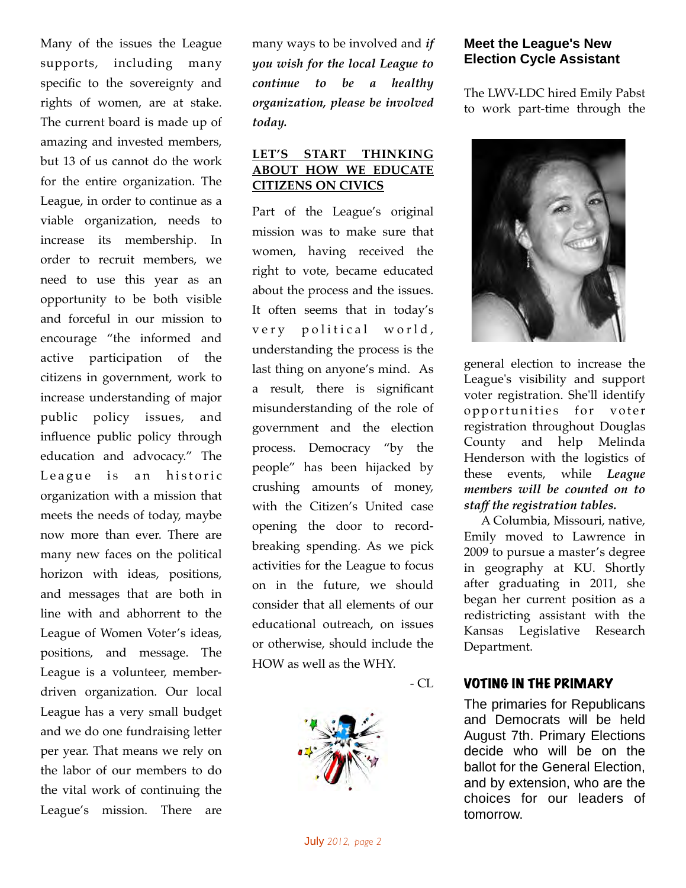Many of the issues the League supports, including many specific to the sovereignty and rights of women, are at stake. The current board is made up of amazing and invested members, but 13 of us cannot do the work for the entire organization. The League, in order to continue as a viable organization, needs to increase its membership. In order to recruit members, we need to use this year as an opportunity to be both visible and forceful in our mission to encourage "the informed and active participation of the citizens in government, work to increase understanding of major public policy issues, and influence public policy through education and advocacy." The League is an historic organization with a mission that meets the needs of today, maybe now more than ever. There are many new faces on the political horizon with ideas, positions, and messages that are both in line with and abhorrent to the League of Women Voter's ideas, positions, and message. The League is a volunteer, memberdriven organization. Our local League has a very small budget and we do one fundraising letter per year. That means we rely on the labor of our members to do the vital work of continuing the League's mission. There are

many ways to be involved and *if you wish for the local League to continue to be a healthy organization, please be involved today.*

## **LET'S START THINKING ABOUT HOW WE EDUCATE CITIZENS ON CIVICS**

Part of the League's original mission was to make sure that women, having received the right to vote, became educated about the process and the issues. It often seems that in today's very political world, understanding the process is the last thing on anyone's mind. As a result, there is significant misunderstanding of the role of government and the election process. Democracy "by the people" has been hijacked by crushing amounts of money, with the Citizen's United case opening the door to recordbreaking spending. As we pick activities for the League to focus on in the future, we should consider that all elements of our educational outreach, on issues or otherwise, should include the HOW as well as the WHY.

 $- CL$ 



# **Meet the League's New Election Cycle Assistant**

The LWV-LDC hired Emily Pabst to work part-time through the



general election to increase the League's visibility and support voter registration. She'll identify opportunities for voter registration throughout Douglas County and help Melinda Henderson with the logistics of these events, while *League members will be counted on to staff the registration tables.*

A Columbia, Missouri, native, Emily moved to Lawrence in 2009 to pursue a master's degree in geography at KU. Shortly after graduating in 2011, she began her current position as a redistricting assistant with the Kansas Legislative Research Department.

## VOTING IN THE PRIMARY

The primaries for Republicans and Democrats will be held August 7th. Primary Elections decide who will be on the ballot for the General Election, and by extension, who are the choices for our leaders of tomorrow.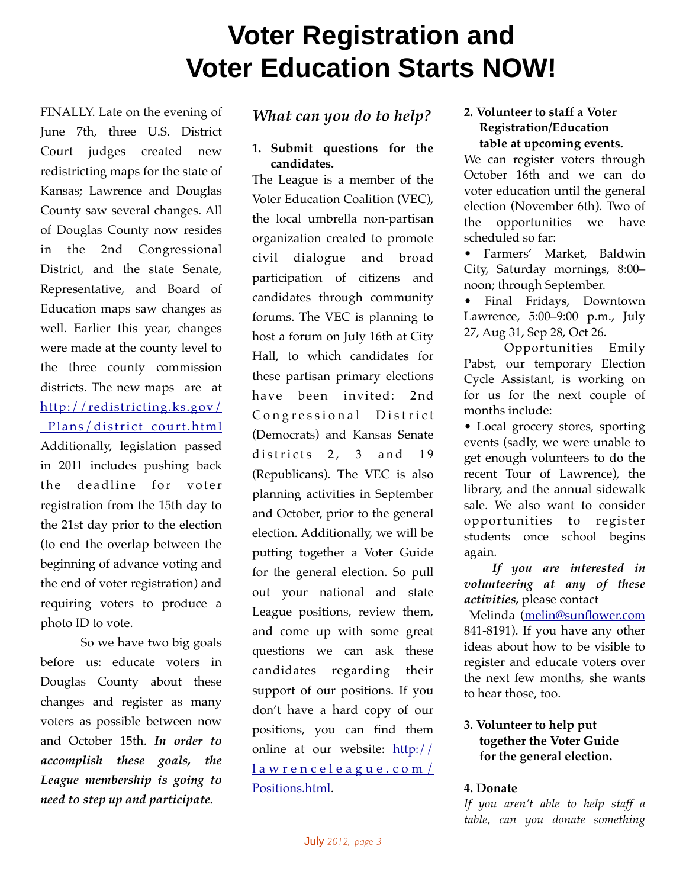# **Voter Registration and Voter Education Starts NOW!**

FINALLY. Late on the evening of June 7th, three U.S. District Court judges created new redistricting maps for the state of Kansas; Lawrence and Douglas County saw several changes. All of Douglas County now resides in the 2nd Congressional District, and the state Senate, Representative, and Board of Education maps saw changes as well. Earlier this year, changes were made at the county level to the three county commission districts. The new maps are at http://redistricting.ks.gov/ Plans/district\_court.html Additionally, legislation passed in 2011 includes pushing back the deadline for voter registration from the 15th day to the 21st day prior to the election (to end the overlap between the beginning of advance voting and the end of voter registration) and requiring voters to produce a photo ID to vote.

So we have two big goals before us: educate voters in Douglas County about these changes and register as many voters as possible between now and October 15th. *In order to accomplish these goals, the League membership is going to need to step up and participate.* 

# *What can you do to help?*

**1. Submit questions for the candidates.**

The League is a member of the Voter Education Coalition (VEC), the local umbrella non-partisan organization created to promote civil dialogue and broad participation of citizens and candidates through community forums. The VEC is planning to host a forum on July 16th at City Hall, to which candidates for these partisan primary elections have been invited: 2nd Congressional District (Democrats) and Kansas Senate districts  $2, 3$  and  $19$ (Republicans). The VEC is also planning activities in September and October, prior to the general election. Additionally, we will be putting together a Voter Guide for the general election. So pull out your national and state League positions, review them, and come up with some great questions we can ask these candidates regarding their support of our positions. If you don't have a hard copy of our positions, you can find them online at our website: http:// lawrenceleague.com/ Positions.html.

#### **2. Volunteer to staff a Voter Registration/Education table at upcoming events.**

We can register voters through October 16th and we can do voter education until the general election (November 6th). Two of the opportunities we have scheduled so far:

• Farmers' Market, Baldwin City, Saturday mornings, 8:00– noon; through September.

• Final Fridays, Downtown Lawrence, 5:00–9:00 p.m., July 27, Aug 31, Sep 28, Oct 26.

 Opportunities Emily Pabst, our temporary Election Cycle Assistant, is working on for us for the next couple of months include:

• Local grocery stores, sporting events (sadly, we were unable to get enough volunteers to do the recent Tour of Lawrence), the library, and the annual sidewalk sale. We also want to consider opportunities to register students once school begins again.

 *If you are interested in volunteering at any of these activities,* please contact

 Melinda (melin@sunflower.com 841-8191). If you have any other ideas about how to be visible to register and educate voters over the next few months, she wants to hear those, too.

## **3. Volunteer to help put together the Voter Guide for the general election.**

#### **4. Donate**

*If you aren't able to help staff a table, can you donate something*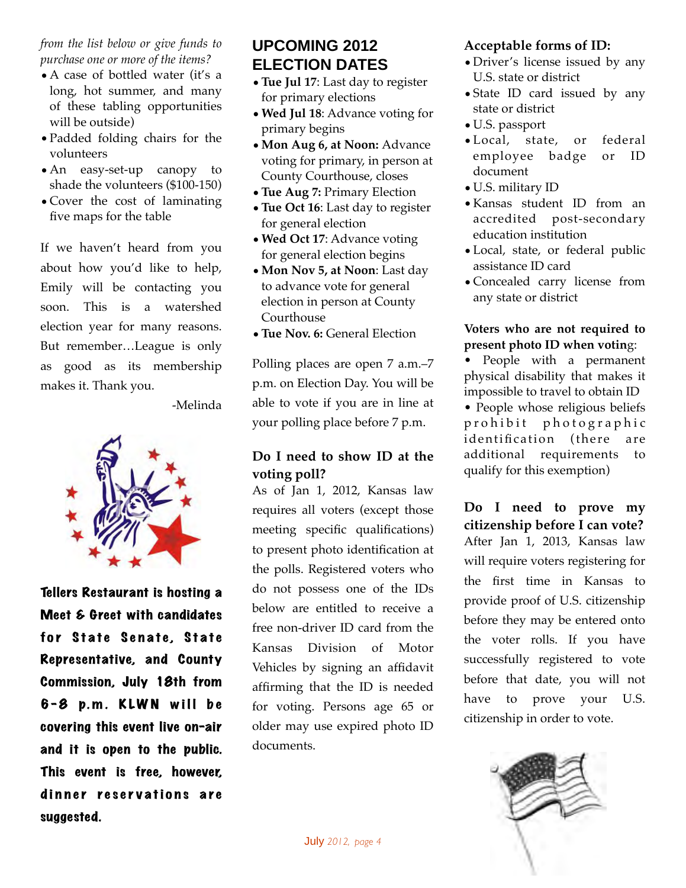*from the list below or give funds to purchase one or more of the items?*

- A case of bottled water (it's a long, hot summer, and many of these tabling opportunities will be outside)
- •Padded folding chairs for the volunteers
- •An easy-set-up canopy to shade the volunteers (\$100-150)
- Cover the cost of laminating five maps for the table

If we haven't heard from you about how you'd like to help, Emily will be contacting you soon. This is a watershed election year for many reasons. But remember…League is only as good as its membership makes it. Thank you.

-Melinda



Tellers Restaurant is hosting a Meet & Greet with candidates for State Senate, State Representative, and County Commission, July 18th from  $6 - 8$  p.m. KLWN will be covering this event live on-air and it is open to the public. This event is free, however, dinner reservations are suggested.

# **UPCOMING 2012 ELECTION DATES**

- •**Tue Jul 17**: Last day to register for primary elections
- •**Wed Jul 18**: Advance voting for primary begins
- •**Mon Aug 6, at Noon:** Advance voting for primary, in person at County Courthouse, closes
- •**Tue Aug 7:** Primary Election
- •**Tue Oct 16**: Last day to register for general election
- •**Wed Oct 17**: Advance voting for general election begins
- •**Mon Nov 5, at Noon**: Last day to advance vote for general election in person at County Courthouse
- •**Tue Nov. 6:** General Election

Polling places are open 7 a.m.–7 p.m. on Election Day. You will be able to vote if you are in line at your polling place before 7 p.m.

# **Do I need to show ID at the voting poll?**

As of Jan 1, 2012, Kansas law requires all voters (except those meeting specific qualifications) to present photo identification at the polls. Registered voters who do not possess one of the IDs below are entitled to receive a free non-driver ID card from the Kansas Division of Motor Vehicles by signing an affidavit affirming that the ID is needed for voting. Persons age 65 or older may use expired photo ID documents.

# **Acceptable forms of ID:**

- •Driver's license issued by any U.S. state or district
- •State ID card issued by any state or district
- •U.S. passport
- •Local, state, or federal employee badge or ID document
- •U.S. military ID
- •Kansas student ID from an accredited post-secondary education institution
- •Local, state, or federal public assistance ID card
- Concealed carry license from any state or district

#### **Voters who are not required to present photo ID when votin**g:

• People with a permanent physical disability that makes it impossible to travel to obtain ID

• People whose religious beliefs p r o h i b i t p h o t o g r a p h i c identification (there are additional requirements to qualify for this exemption)

**Do I need to prove my citizenship before I can vote?** After Jan 1, 2013, Kansas law will require voters registering for the first time in Kansas to provide proof of U.S. citizenship before they may be entered onto the voter rolls. If you have successfully registered to vote before that date, you will not have to prove your U.S. citizenship in order to vote.

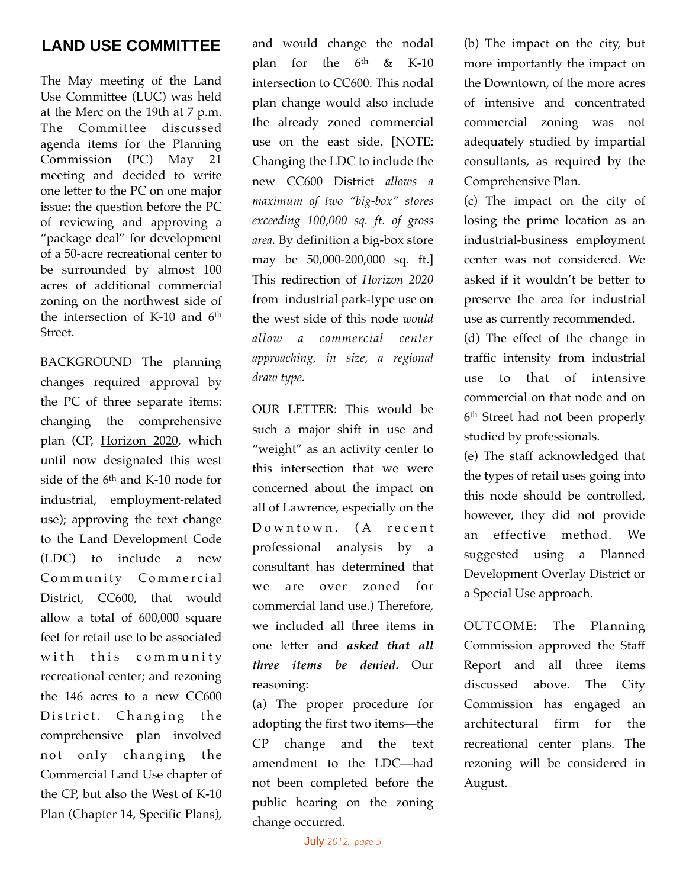# **LAND USE COMMITTEE**

The May meeting of the Land Use Committee (LUC) was held at the Merc on the 19th at 7 p.m. The Committee discussed agenda items for the Planning Commission (PC) May 21 meeting and decided to write one letter to the PC on one major issue**:** the question before the PC of reviewing and approving a "package deal" for development of a 50-acre recreational center to be surrounded by almost 100 acres of additional commercial zoning on the northwest side of the intersection of K-10 and  $6<sup>th</sup>$ Street.

BACKGROUND The planning changes required approval by the PC of three separate items: changing the comprehensive plan (CP, Horizon 2020, which until now designated this west side of the 6<sup>th</sup> and K-10 node for industrial, employment-related use); approving the text change to the Land Development Code (LDC) to include a new Community Commercial District, CC600, that would allow a total of 600,000 square feet for retail use to be associated with this community recreational center; and rezoning the 146 acres to a new CC600 District. Changing the comprehensive plan involved not only changing the Commercial Land Use chapter of the CP, but also the West of K-10 Plan (Chapter 14, Specific Plans), and would change the nodal plan for the  $6<sup>th</sup>$  & K-10 intersection to CC600. This nodal plan change would also include the already zoned commercial use on the east side. [NOTE: Changing the LDC to include the new CC600 District *allows a maximum of two "big-box" stores exceeding 100,000 sq. ft. of gross area.* By definition a big-box store may be 50,000-200,000 sq. ft.] This redirection of *Horizon 2020* from industrial park-type use on the west side of this node *would allow a commercial center approaching, in size, a regional draw type.*

OUR LETTER: This would be such a major shift in use and "weight" as an activity center to this intersection that we were concerned about the impact on all of Lawrence, especially on the Downtown. (A recent professional analysis by a consultant has determined that we are over zoned for commercial land use.) Therefore, we included all three items in one letter and *asked that all three items be denied.* Our reasoning:

(a) The proper procedure for adopting the first two items—the CP change and the text amendment to the LDC—had not been completed before the public hearing on the zoning change occurred.

(b) The impact on the city, but more importantly the impact on the Downtown, of the more acres of intensive and concentrated commercial zoning was not adequately studied by impartial consultants, as required by the Comprehensive Plan.

(c) The impact on the city of losing the prime location as an industrial-business employment center was not considered. We asked if it wouldn't be better to preserve the area for industrial use as currently recommended.

(d) The effect of the change in traffic intensity from industrial use to that of intensive commercial on that node and on 6th Street had not been properly studied by professionals.

(e) The staff acknowledged that the types of retail uses going into this node should be controlled, however, they did not provide an effective method. We suggested using a Planned Development Overlay District or a Special Use approach.

OUTCOME: The Planning Commission approved the Staff Report and all three items discussed above. The City Commission has engaged an architectural firm for the recreational center plans. The rezoning will be considered in August.

July *2012, page 5*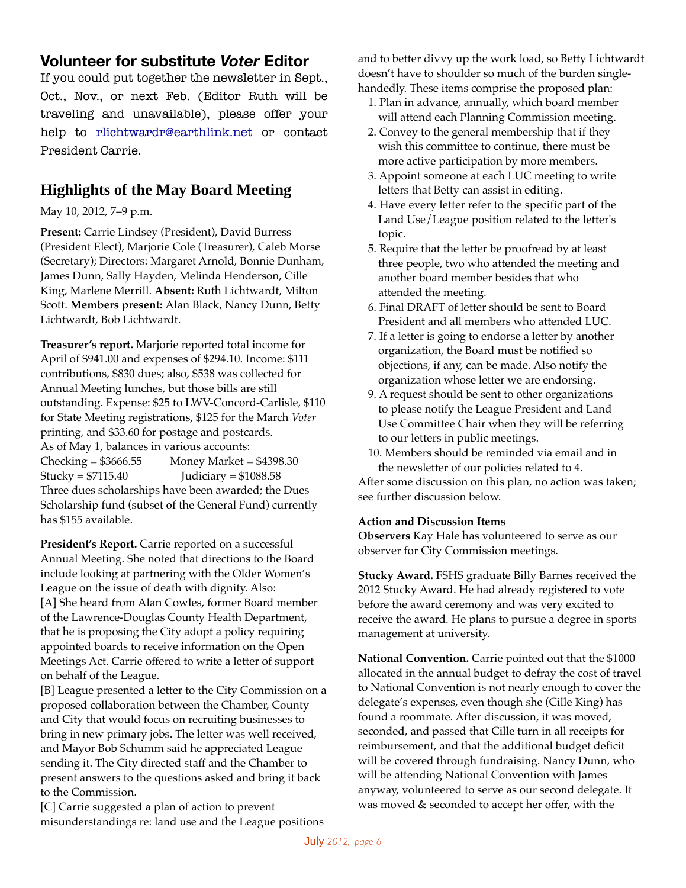# **Volunteer for substitute** *Voter* **Editor**

If you could put together the newsletter in Sept., Oct., Nov., or next Feb. (Editor Ruth will be traveling and unavailable), please offer your help to rlichtwardr@earthlink.net or contact President Carrie.

# **Highlights of the May Board Meeting**

May 10, 2012, 7–9 p.m.

**Present:** Carrie Lindsey (President), David Burress (President Elect), Marjorie Cole (Treasurer), Caleb Morse (Secretary); Directors: Margaret Arnold, Bonnie Dunham, James Dunn, Sally Hayden, Melinda Henderson, Cille King, Marlene Merrill. **Absent:** Ruth Lichtwardt, Milton Scott. **Members present:** Alan Black, Nancy Dunn, Betty Lichtwardt, Bob Lichtwardt.

**Treasurer's report.** Marjorie reported total income for April of \$941.00 and expenses of \$294.10. Income: \$111 contributions, \$830 dues; also, \$538 was collected for Annual Meeting lunches, but those bills are still outstanding. Expense: \$25 to LWV-Concord-Carlisle, \$110 for State Meeting registrations, \$125 for the March *Voter*  printing, and \$33.60 for postage and postcards. As of May 1, balances in various accounts:  $Checking = $3666.55$  Money Market = \$4398.30  $Stucky = $7115.40$  Judiciary =  $$1088.58$ Three dues scholarships have been awarded; the Dues Scholarship fund (subset of the General Fund) currently has \$155 available.

**President's Report.** Carrie reported on a successful Annual Meeting. She noted that directions to the Board include looking at partnering with the Older Women's League on the issue of death with dignity. Also: [A] She heard from Alan Cowles, former Board member of the Lawrence-Douglas County Health Department, that he is proposing the City adopt a policy requiring appointed boards to receive information on the Open Meetings Act. Carrie offered to write a letter of support on behalf of the League.

[B] League presented a letter to the City Commission on a proposed collaboration between the Chamber, County and City that would focus on recruiting businesses to bring in new primary jobs. The letter was well received, and Mayor Bob Schumm said he appreciated League sending it. The City directed staff and the Chamber to present answers to the questions asked and bring it back to the Commission.

[C] Carrie suggested a plan of action to prevent misunderstandings re: land use and the League positions

and to better divvy up the work load, so Betty Lichtwardt doesn't have to shoulder so much of the burden singlehandedly. These items comprise the proposed plan:

- 1. Plan in advance, annually, which board member will attend each Planning Commission meeting.
- 2. Convey to the general membership that if they wish this committee to continue, there must be more active participation by more members.
- 3. Appoint someone at each LUC meeting to write letters that Betty can assist in editing.
- 4. Have every letter refer to the specific part of the Land Use/League position related to the letter's topic.
- 5. Require that the letter be proofread by at least three people, two who attended the meeting and another board member besides that who attended the meeting.
- 6. Final DRAFT of letter should be sent to Board President and all members who attended LUC.
- 7. If a letter is going to endorse a letter by another organization, the Board must be notified so objections, if any, can be made. Also notify the organization whose letter we are endorsing.
- 9. A request should be sent to other organizations to please notify the League President and Land Use Committee Chair when they will be referring to our letters in public meetings.
- 10. Members should be reminded via email and in the newsletter of our policies related to 4.

After some discussion on this plan, no action was taken; see further discussion below.

## **Action and Discussion Items**

**Observers** Kay Hale has volunteered to serve as our observer for City Commission meetings.

**Stucky Award.** FSHS graduate Billy Barnes received the 2012 Stucky Award. He had already registered to vote before the award ceremony and was very excited to receive the award. He plans to pursue a degree in sports management at university.

**National Convention.** Carrie pointed out that the \$1000 allocated in the annual budget to defray the cost of travel to National Convention is not nearly enough to cover the delegate's expenses, even though she (Cille King) has found a roommate. After discussion, it was moved, seconded, and passed that Cille turn in all receipts for reimbursement, and that the additional budget deficit will be covered through fundraising. Nancy Dunn, who will be attending National Convention with James anyway, volunteered to serve as our second delegate. It was moved & seconded to accept her offer, with the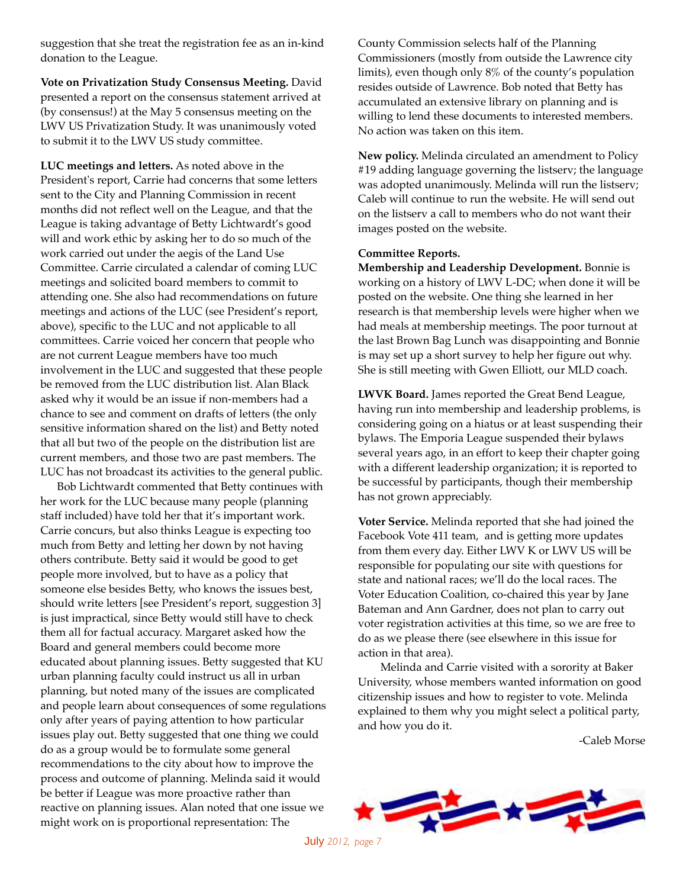suggestion that she treat the registration fee as an in-kind donation to the League.

**Vote on Privatization Study Consensus Meeting.** David presented a report on the consensus statement arrived at (by consensus!) at the May 5 consensus meeting on the LWV US Privatization Study. It was unanimously voted to submit it to the LWV US study committee.

**LUC meetings and letters.** As noted above in the President's report, Carrie had concerns that some letters sent to the City and Planning Commission in recent months did not reflect well on the League, and that the League is taking advantage of Betty Lichtwardt's good will and work ethic by asking her to do so much of the work carried out under the aegis of the Land Use Committee. Carrie circulated a calendar of coming LUC meetings and solicited board members to commit to attending one. She also had recommendations on future meetings and actions of the LUC (see President's report, above), specific to the LUC and not applicable to all committees. Carrie voiced her concern that people who are not current League members have too much involvement in the LUC and suggested that these people be removed from the LUC distribution list. Alan Black asked why it would be an issue if non-members had a chance to see and comment on drafts of letters (the only sensitive information shared on the list) and Betty noted that all but two of the people on the distribution list are current members, and those two are past members. The LUC has not broadcast its activities to the general public.

 Bob Lichtwardt commented that Betty continues with her work for the LUC because many people (planning staff included) have told her that it's important work. Carrie concurs, but also thinks League is expecting too much from Betty and letting her down by not having others contribute. Betty said it would be good to get people more involved, but to have as a policy that someone else besides Betty, who knows the issues best, should write letters [see President's report, suggestion 3] is just impractical, since Betty would still have to check them all for factual accuracy. Margaret asked how the Board and general members could become more educated about planning issues. Betty suggested that KU urban planning faculty could instruct us all in urban planning, but noted many of the issues are complicated and people learn about consequences of some regulations only after years of paying attention to how particular issues play out. Betty suggested that one thing we could do as a group would be to formulate some general recommendations to the city about how to improve the process and outcome of planning. Melinda said it would be better if League was more proactive rather than reactive on planning issues. Alan noted that one issue we might work on is proportional representation: The

County Commission selects half of the Planning Commissioners (mostly from outside the Lawrence city limits), even though only 8% of the county's population resides outside of Lawrence. Bob noted that Betty has accumulated an extensive library on planning and is willing to lend these documents to interested members. No action was taken on this item.

**New policy.** Melinda circulated an amendment to Policy #19 adding language governing the listserv; the language was adopted unanimously. Melinda will run the listserv; Caleb will continue to run the website. He will send out on the listserv a call to members who do not want their images posted on the website.

#### **Committee Reports.**

**Membership and Leadership Development.** Bonnie is working on a history of LWV L-DC; when done it will be posted on the website. One thing she learned in her research is that membership levels were higher when we had meals at membership meetings. The poor turnout at the last Brown Bag Lunch was disappointing and Bonnie is may set up a short survey to help her figure out why. She is still meeting with Gwen Elliott, our MLD coach.

**LWVK Board.** James reported the Great Bend League, having run into membership and leadership problems, is considering going on a hiatus or at least suspending their bylaws. The Emporia League suspended their bylaws several years ago, in an effort to keep their chapter going with a different leadership organization; it is reported to be successful by participants, though their membership has not grown appreciably.

**Voter Service.** Melinda reported that she had joined the Facebook Vote 411 team, and is getting more updates from them every day. Either LWV K or LWV US will be responsible for populating our site with questions for state and national races; we'll do the local races. The Voter Education Coalition, co-chaired this year by Jane Bateman and Ann Gardner, does not plan to carry out voter registration activities at this time, so we are free to do as we please there (see elsewhere in this issue for action in that area).

 Melinda and Carrie visited with a sorority at Baker University, whose members wanted information on good citizenship issues and how to register to vote. Melinda explained to them why you might select a political party, and how you do it.

-Caleb Morse



July *2012, page 7*